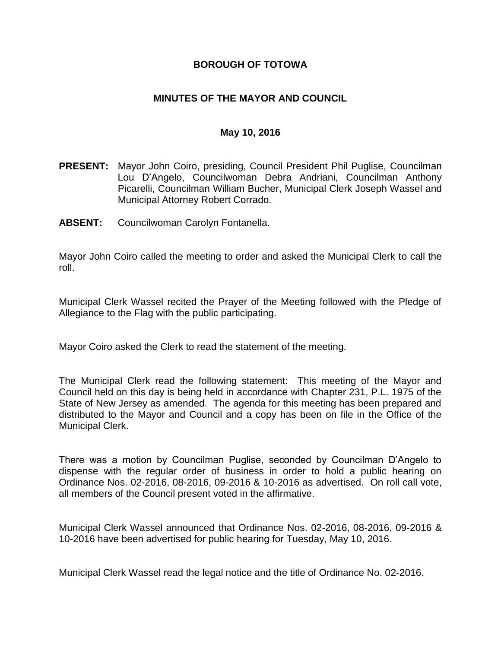## **BOROUGH OF TOTOWA**

## **MINUTES OF THE MAYOR AND COUNCIL**

## **May 10, 2016**

- **PRESENT:** Mayor John Coiro, presiding, Council President Phil Puglise, Councilman Lou D'Angelo, Councilwoman Debra Andriani, Councilman Anthony Picarelli, Councilman William Bucher, Municipal Clerk Joseph Wassel and Municipal Attorney Robert Corrado.
- **ABSENT:** Councilwoman Carolyn Fontanella.

Mayor John Coiro called the meeting to order and asked the Municipal Clerk to call the roll.

Municipal Clerk Wassel recited the Prayer of the Meeting followed with the Pledge of Allegiance to the Flag with the public participating.

Mayor Coiro asked the Clerk to read the statement of the meeting.

The Municipal Clerk read the following statement: This meeting of the Mayor and Council held on this day is being held in accordance with Chapter 231, P.L. 1975 of the State of New Jersey as amended. The agenda for this meeting has been prepared and distributed to the Mayor and Council and a copy has been on file in the Office of the Municipal Clerk.

There was a motion by Councilman Puglise, seconded by Councilman D'Angelo to dispense with the regular order of business in order to hold a public hearing on Ordinance Nos. 02-2016, 08-2016, 09-2016 & 10-2016 as advertised. On roll call vote, all members of the Council present voted in the affirmative.

Municipal Clerk Wassel announced that Ordinance Nos. 02-2016, 08-2016, 09-2016 & 10-2016 have been advertised for public hearing for Tuesday, May 10, 2016.

Municipal Clerk Wassel read the legal notice and the title of Ordinance No. 02-2016.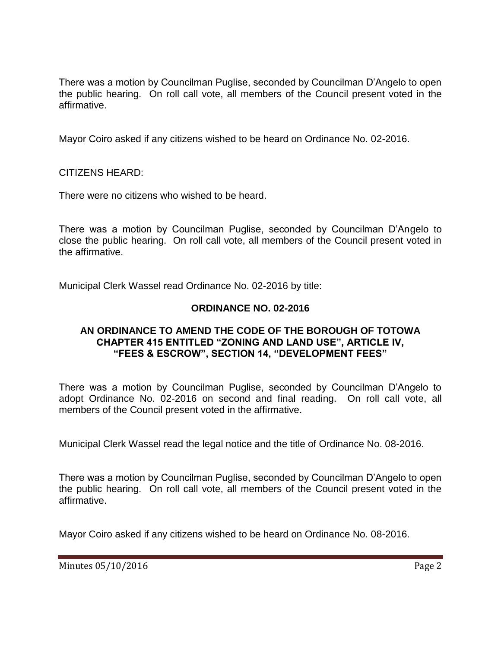There was a motion by Councilman Puglise, seconded by Councilman D'Angelo to open the public hearing. On roll call vote, all members of the Council present voted in the affirmative.

Mayor Coiro asked if any citizens wished to be heard on Ordinance No. 02-2016.

CITIZENS HEARD:

There were no citizens who wished to be heard.

There was a motion by Councilman Puglise, seconded by Councilman D'Angelo to close the public hearing. On roll call vote, all members of the Council present voted in the affirmative.

Municipal Clerk Wassel read Ordinance No. 02-2016 by title:

# **ORDINANCE NO. 02-2016**

## **AN ORDINANCE TO AMEND THE CODE OF THE BOROUGH OF TOTOWA CHAPTER 415 ENTITLED "ZONING AND LAND USE", ARTICLE IV, "FEES & ESCROW", SECTION 14, "DEVELOPMENT FEES"**

There was a motion by Councilman Puglise, seconded by Councilman D'Angelo to adopt Ordinance No. 02-2016 on second and final reading. On roll call vote, all members of the Council present voted in the affirmative.

Municipal Clerk Wassel read the legal notice and the title of Ordinance No. 08-2016.

There was a motion by Councilman Puglise, seconded by Councilman D'Angelo to open the public hearing. On roll call vote, all members of the Council present voted in the affirmative.

Mayor Coiro asked if any citizens wished to be heard on Ordinance No. 08-2016.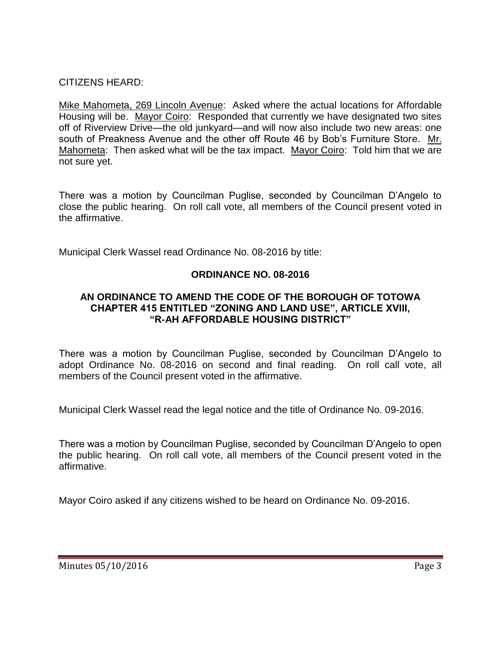# CITIZENS HEARD:

Mike Mahometa, 269 Lincoln Avenue: Asked where the actual locations for Affordable Housing will be. Mayor Coiro: Responded that currently we have designated two sites off of Riverview Drive—the old junkyard—and will now also include two new areas: one south of Preakness Avenue and the other off Route 46 by Bob's Furniture Store. Mr. Mahometa: Then asked what will be the tax impact. Mayor Coiro: Told him that we are not sure yet.

There was a motion by Councilman Puglise, seconded by Councilman D'Angelo to close the public hearing. On roll call vote, all members of the Council present voted in the affirmative.

Municipal Clerk Wassel read Ordinance No. 08-2016 by title:

# **ORDINANCE NO. 08-2016**

## **AN ORDINANCE TO AMEND THE CODE OF THE BOROUGH OF TOTOWA CHAPTER 415 ENTITLED "ZONING AND LAND USE", ARTICLE XVIII, "R-AH AFFORDABLE HOUSING DISTRICT"**

There was a motion by Councilman Puglise, seconded by Councilman D'Angelo to adopt Ordinance No. 08-2016 on second and final reading. On roll call vote, all members of the Council present voted in the affirmative.

Municipal Clerk Wassel read the legal notice and the title of Ordinance No. 09-2016.

There was a motion by Councilman Puglise, seconded by Councilman D'Angelo to open the public hearing. On roll call vote, all members of the Council present voted in the affirmative.

Mayor Coiro asked if any citizens wished to be heard on Ordinance No. 09-2016.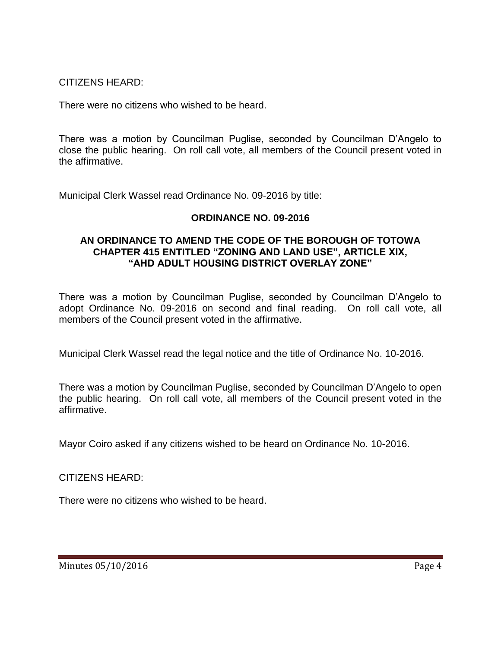CITIZENS HEARD:

There were no citizens who wished to be heard.

There was a motion by Councilman Puglise, seconded by Councilman D'Angelo to close the public hearing. On roll call vote, all members of the Council present voted in the affirmative.

Municipal Clerk Wassel read Ordinance No. 09-2016 by title:

# **ORDINANCE NO. 09-2016**

### **AN ORDINANCE TO AMEND THE CODE OF THE BOROUGH OF TOTOWA CHAPTER 415 ENTITLED "ZONING AND LAND USE", ARTICLE XIX, "AHD ADULT HOUSING DISTRICT OVERLAY ZONE"**

There was a motion by Councilman Puglise, seconded by Councilman D'Angelo to adopt Ordinance No. 09-2016 on second and final reading. On roll call vote, all members of the Council present voted in the affirmative.

Municipal Clerk Wassel read the legal notice and the title of Ordinance No. 10-2016.

There was a motion by Councilman Puglise, seconded by Councilman D'Angelo to open the public hearing. On roll call vote, all members of the Council present voted in the affirmative.

Mayor Coiro asked if any citizens wished to be heard on Ordinance No. 10-2016.

CITIZENS HEARD:

There were no citizens who wished to be heard.

Minutes 05/10/2016 **Page 4**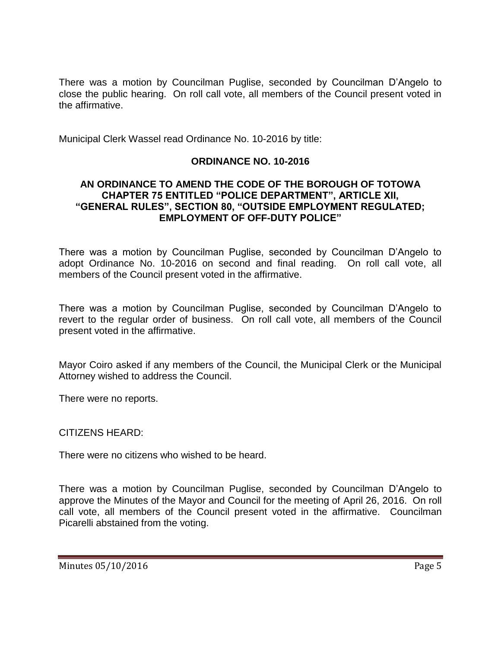There was a motion by Councilman Puglise, seconded by Councilman D'Angelo to close the public hearing. On roll call vote, all members of the Council present voted in the affirmative.

Municipal Clerk Wassel read Ordinance No. 10-2016 by title:

## **ORDINANCE NO. 10-2016**

### **AN ORDINANCE TO AMEND THE CODE OF THE BOROUGH OF TOTOWA CHAPTER 75 ENTITLED "POLICE DEPARTMENT", ARTICLE XII, "GENERAL RULES", SECTION 80, "OUTSIDE EMPLOYMENT REGULATED; EMPLOYMENT OF OFF-DUTY POLICE"**

There was a motion by Councilman Puglise, seconded by Councilman D'Angelo to adopt Ordinance No. 10-2016 on second and final reading. On roll call vote, all members of the Council present voted in the affirmative.

There was a motion by Councilman Puglise, seconded by Councilman D'Angelo to revert to the regular order of business. On roll call vote, all members of the Council present voted in the affirmative.

Mayor Coiro asked if any members of the Council, the Municipal Clerk or the Municipal Attorney wished to address the Council.

There were no reports.

CITIZENS HEARD:

There were no citizens who wished to be heard.

There was a motion by Councilman Puglise, seconded by Councilman D'Angelo to approve the Minutes of the Mayor and Council for the meeting of April 26, 2016. On roll call vote, all members of the Council present voted in the affirmative. Councilman Picarelli abstained from the voting.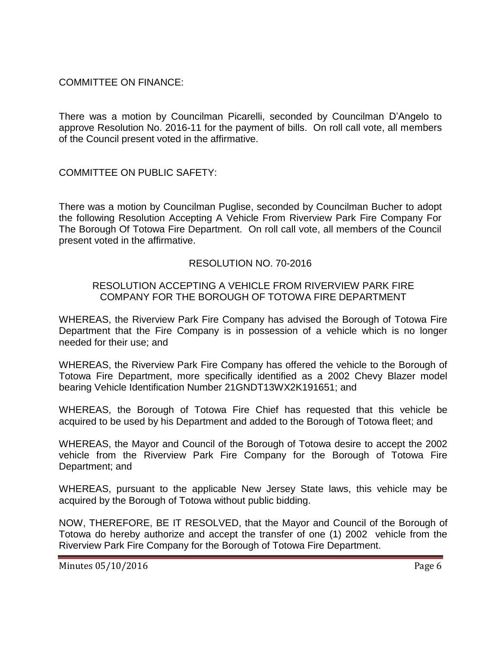COMMITTEE ON FINANCE:

There was a motion by Councilman Picarelli, seconded by Councilman D'Angelo to approve Resolution No. 2016-11 for the payment of bills. On roll call vote, all members of the Council present voted in the affirmative.

COMMITTEE ON PUBLIC SAFETY:

There was a motion by Councilman Puglise, seconded by Councilman Bucher to adopt the following Resolution Accepting A Vehicle From Riverview Park Fire Company For The Borough Of Totowa Fire Department. On roll call vote, all members of the Council present voted in the affirmative.

## RESOLUTION NO. 70-2016

## RESOLUTION ACCEPTING A VEHICLE FROM RIVERVIEW PARK FIRE COMPANY FOR THE BOROUGH OF TOTOWA FIRE DEPARTMENT

WHEREAS, the Riverview Park Fire Company has advised the Borough of Totowa Fire Department that the Fire Company is in possession of a vehicle which is no longer needed for their use; and

WHEREAS, the Riverview Park Fire Company has offered the vehicle to the Borough of Totowa Fire Department, more specifically identified as a 2002 Chevy Blazer model bearing Vehicle Identification Number 21GNDT13WX2K191651; and

WHEREAS, the Borough of Totowa Fire Chief has requested that this vehicle be acquired to be used by his Department and added to the Borough of Totowa fleet; and

WHEREAS, the Mayor and Council of the Borough of Totowa desire to accept the 2002 vehicle from the Riverview Park Fire Company for the Borough of Totowa Fire Department; and

WHEREAS, pursuant to the applicable New Jersey State laws, this vehicle may be acquired by the Borough of Totowa without public bidding.

NOW, THEREFORE, BE IT RESOLVED, that the Mayor and Council of the Borough of Totowa do hereby authorize and accept the transfer of one (1) 2002 vehicle from the Riverview Park Fire Company for the Borough of Totowa Fire Department.

Minutes 05/10/2016 **Page 6**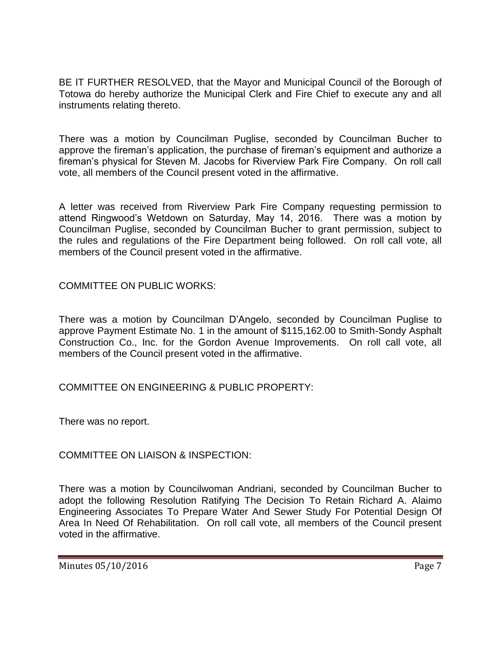BE IT FURTHER RESOLVED, that the Mayor and Municipal Council of the Borough of Totowa do hereby authorize the Municipal Clerk and Fire Chief to execute any and all instruments relating thereto.

There was a motion by Councilman Puglise, seconded by Councilman Bucher to approve the fireman's application, the purchase of fireman's equipment and authorize a fireman's physical for Steven M. Jacobs for Riverview Park Fire Company. On roll call vote, all members of the Council present voted in the affirmative.

A letter was received from Riverview Park Fire Company requesting permission to attend Ringwood's Wetdown on Saturday, May 14, 2016. There was a motion by Councilman Puglise, seconded by Councilman Bucher to grant permission, subject to the rules and regulations of the Fire Department being followed. On roll call vote, all members of the Council present voted in the affirmative.

COMMITTEE ON PUBLIC WORKS:

There was a motion by Councilman D'Angelo, seconded by Councilman Puglise to approve Payment Estimate No. 1 in the amount of \$115,162.00 to Smith-Sondy Asphalt Construction Co., Inc. for the Gordon Avenue Improvements. On roll call vote, all members of the Council present voted in the affirmative.

COMMITTEE ON ENGINEERING & PUBLIC PROPERTY:

There was no report.

COMMITTEE ON LIAISON & INSPECTION:

There was a motion by Councilwoman Andriani, seconded by Councilman Bucher to adopt the following Resolution Ratifying The Decision To Retain Richard A. Alaimo Engineering Associates To Prepare Water And Sewer Study For Potential Design Of Area In Need Of Rehabilitation. On roll call vote, all members of the Council present voted in the affirmative.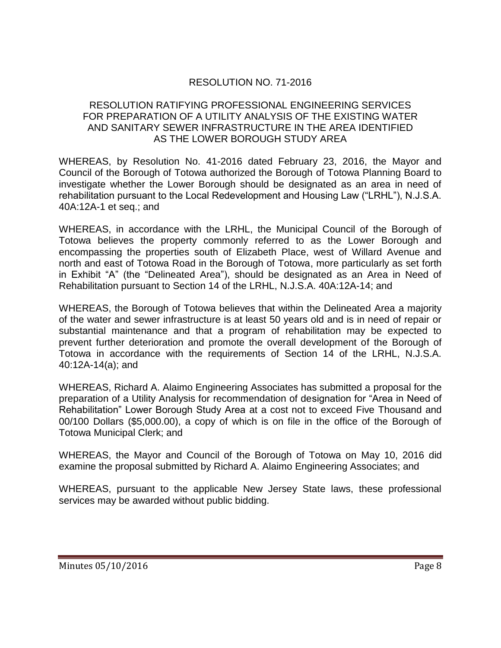# RESOLUTION NO. 71-2016

## RESOLUTION RATIFYING PROFESSIONAL ENGINEERING SERVICES FOR PREPARATION OF A UTILITY ANALYSIS OF THE EXISTING WATER AND SANITARY SEWER INFRASTRUCTURE IN THE AREA IDENTIFIED AS THE LOWER BOROUGH STUDY AREA

WHEREAS, by Resolution No. 41-2016 dated February 23, 2016, the Mayor and Council of the Borough of Totowa authorized the Borough of Totowa Planning Board to investigate whether the Lower Borough should be designated as an area in need of rehabilitation pursuant to the Local Redevelopment and Housing Law ("LRHL"), N.J.S.A. 40A:12A-1 et seq.; and

WHEREAS, in accordance with the LRHL, the Municipal Council of the Borough of Totowa believes the property commonly referred to as the Lower Borough and encompassing the properties south of Elizabeth Place, west of Willard Avenue and north and east of Totowa Road in the Borough of Totowa, more particularly as set forth in Exhibit "A" (the "Delineated Area"), should be designated as an Area in Need of Rehabilitation pursuant to Section 14 of the LRHL, N.J.S.A. 40A:12A-14; and

WHEREAS, the Borough of Totowa believes that within the Delineated Area a majority of the water and sewer infrastructure is at least 50 years old and is in need of repair or substantial maintenance and that a program of rehabilitation may be expected to prevent further deterioration and promote the overall development of the Borough of Totowa in accordance with the requirements of Section 14 of the LRHL, N.J.S.A. 40:12A-14(a); and

WHEREAS, Richard A. Alaimo Engineering Associates has submitted a proposal for the preparation of a Utility Analysis for recommendation of designation for "Area in Need of Rehabilitation" Lower Borough Study Area at a cost not to exceed Five Thousand and 00/100 Dollars (\$5,000.00), a copy of which is on file in the office of the Borough of Totowa Municipal Clerk; and

WHEREAS, the Mayor and Council of the Borough of Totowa on May 10, 2016 did examine the proposal submitted by Richard A. Alaimo Engineering Associates; and

WHEREAS, pursuant to the applicable New Jersey State laws, these professional services may be awarded without public bidding.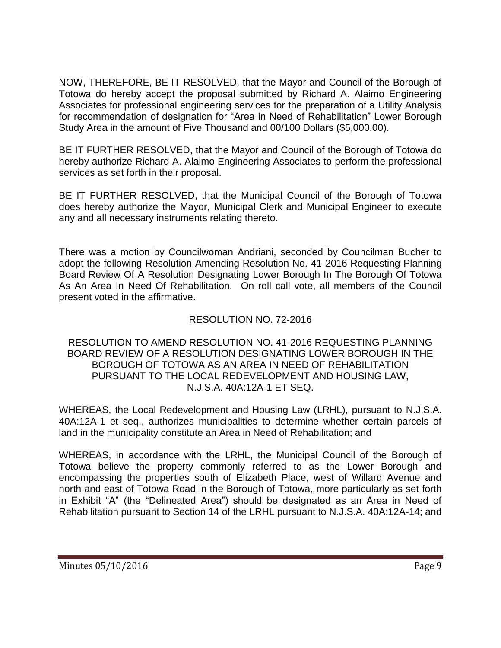NOW, THEREFORE, BE IT RESOLVED, that the Mayor and Council of the Borough of Totowa do hereby accept the proposal submitted by Richard A. Alaimo Engineering Associates for professional engineering services for the preparation of a Utility Analysis for recommendation of designation for "Area in Need of Rehabilitation" Lower Borough Study Area in the amount of Five Thousand and 00/100 Dollars (\$5,000.00).

BE IT FURTHER RESOLVED, that the Mayor and Council of the Borough of Totowa do hereby authorize Richard A. Alaimo Engineering Associates to perform the professional services as set forth in their proposal.

BE IT FURTHER RESOLVED, that the Municipal Council of the Borough of Totowa does hereby authorize the Mayor, Municipal Clerk and Municipal Engineer to execute any and all necessary instruments relating thereto.

There was a motion by Councilwoman Andriani, seconded by Councilman Bucher to adopt the following Resolution Amending Resolution No. 41-2016 Requesting Planning Board Review Of A Resolution Designating Lower Borough In The Borough Of Totowa As An Area In Need Of Rehabilitation. On roll call vote, all members of the Council present voted in the affirmative.

# RESOLUTION NO. 72-2016

## RESOLUTION TO AMEND RESOLUTION NO. 41-2016 REQUESTING PLANNING BOARD REVIEW OF A RESOLUTION DESIGNATING LOWER BOROUGH IN THE BOROUGH OF TOTOWA AS AN AREA IN NEED OF REHABILITATION PURSUANT TO THE LOCAL REDEVELOPMENT AND HOUSING LAW, N.J.S.A. 40A:12A-1 ET SEQ.

WHEREAS, the Local Redevelopment and Housing Law (LRHL), pursuant to N.J.S.A. 40A:12A-1 et seq., authorizes municipalities to determine whether certain parcels of land in the municipality constitute an Area in Need of Rehabilitation; and

WHEREAS, in accordance with the LRHL, the Municipal Council of the Borough of Totowa believe the property commonly referred to as the Lower Borough and encompassing the properties south of Elizabeth Place, west of Willard Avenue and north and east of Totowa Road in the Borough of Totowa, more particularly as set forth in Exhibit "A" (the "Delineated Area") should be designated as an Area in Need of Rehabilitation pursuant to Section 14 of the LRHL pursuant to N.J.S.A. 40A:12A-14; and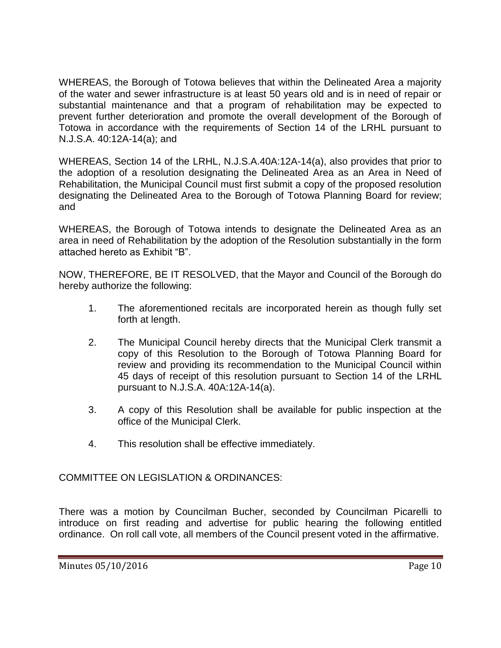WHEREAS, the Borough of Totowa believes that within the Delineated Area a majority of the water and sewer infrastructure is at least 50 years old and is in need of repair or substantial maintenance and that a program of rehabilitation may be expected to prevent further deterioration and promote the overall development of the Borough of Totowa in accordance with the requirements of Section 14 of the LRHL pursuant to N.J.S.A. 40:12A-14(a); and

WHEREAS, Section 14 of the LRHL, N.J.S.A.40A:12A-14(a), also provides that prior to the adoption of a resolution designating the Delineated Area as an Area in Need of Rehabilitation, the Municipal Council must first submit a copy of the proposed resolution designating the Delineated Area to the Borough of Totowa Planning Board for review; and

WHEREAS, the Borough of Totowa intends to designate the Delineated Area as an area in need of Rehabilitation by the adoption of the Resolution substantially in the form attached hereto as Exhibit "B".

NOW, THEREFORE, BE IT RESOLVED, that the Mayor and Council of the Borough do hereby authorize the following:

- 1. The aforementioned recitals are incorporated herein as though fully set forth at length.
- 2. The Municipal Council hereby directs that the Municipal Clerk transmit a copy of this Resolution to the Borough of Totowa Planning Board for review and providing its recommendation to the Municipal Council within 45 days of receipt of this resolution pursuant to Section 14 of the LRHL pursuant to N.J.S.A. 40A:12A-14(a).
- 3. A copy of this Resolution shall be available for public inspection at the office of the Municipal Clerk.
- 4. This resolution shall be effective immediately.

COMMITTEE ON LEGISLATION & ORDINANCES:

There was a motion by Councilman Bucher, seconded by Councilman Picarelli to introduce on first reading and advertise for public hearing the following entitled ordinance. On roll call vote, all members of the Council present voted in the affirmative.